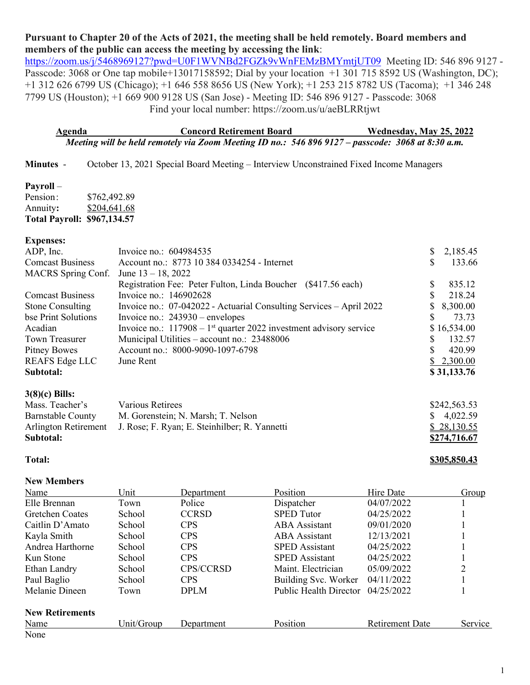# **Pursuant to Chapter 20 of the Acts of 2021, the meeting shall be held remotely. Board members and members of the public can access the meeting by accessing the link**:

<https://zoom.us/j/5468969127?pwd=U0F1WVNBd2FGZk9vWnFEMzBMYmtjUT09>Meeting ID: 546 896 9127 -Passcode: 3068 or One tap mobile+13017158592; Dial by your location +1 301 715 8592 US (Washington, DC); +1 312 626 6799 US (Chicago); +1 646 558 8656 US (New York); +1 253 215 8782 US (Tacoma); +1 346 248 7799 US (Houston); +1 669 900 9128 US (San Jose) - Meeting ID: 546 896 9127 - Passcode: 3068 Find your local number: https://zoom.us/u/aeBLRRtjwt

**Agenda Concord Retirement Board Wednesday, May 25, 2022** *Meeting will be held remotely via Zoom Meeting ID no.: 546 896 9127 – passcode: 3068 at 8:30 a.m.*

**Minutes** - October 13, 2021 Special Board Meeting – Interview Unconstrained Fixed Income Managers

#### **Payroll** –

Pension: \$762,492.89 Annuity**:** \$204,641.68 **Total Payroll: \$967,134.57**

#### **Expenses:**

| ADP, Inc.               | Invoice no.: 604984535                                                           | 2,185.45    |
|-------------------------|----------------------------------------------------------------------------------|-------------|
| <b>Comcast Business</b> | Account no.: 8773 10 384 0334254 - Internet                                      | 133.66      |
| MACRS Spring Conf.      | June $13 - 18$ , 2022                                                            |             |
|                         | Registration Fee: Peter Fulton, Linda Boucher (\$417.56 each)                    | 835.12      |
| <b>Comcast Business</b> | Invoice no.: 146902628                                                           | 218.24      |
| <b>Stone Consulting</b> | Invoice no.: 07-042022 - Actuarial Consulting Services – April 2022              | \$8,300.00  |
| bse Print Solutions     | Invoice no.: $243930$ – envelopes                                                | 73.73       |
| Acadian                 | Invoice no.: $117908 - 1$ <sup>st</sup> quarter 2022 investment advisory service | \$16,534.00 |
| Town Treasurer          | Municipal Utilities – account no.: 23488006                                      | 132.57      |
| Pitney Bowes            | Account no.: 8000-9090-1097-6798                                                 | 420.99      |
| REAFS Edge LLC          | June Rent                                                                        | \$2,300.00  |
| Subtotal:               |                                                                                  | \$31,133.76 |
|                         |                                                                                  |             |

#### **3(8)(c) Bills:**

| Mass. Teacher's          | Various Retirees                                                   | \$242,563.53            |
|--------------------------|--------------------------------------------------------------------|-------------------------|
| <b>Barnstable County</b> | M. Gorenstein; N. Marsh; T. Nelson                                 | $\frac{\$}{9}$ 4,022.59 |
|                          | Arlington Retirement J. Rose; F. Ryan; E. Steinhilber; R. Yannetti | \$28,130.55             |
| Subtotal:                |                                                                    | \$274,716.67            |

#### **Total: \$305,850.43**

#### **New Members**

| Name                   | Unit       | Department   | Position                      | Hire Date              | Group   |
|------------------------|------------|--------------|-------------------------------|------------------------|---------|
| Elle Brennan           | Town       | Police       | Dispatcher                    | 04/07/2022             |         |
| <b>Gretchen Coates</b> | School     | <b>CCRSD</b> | <b>SPED</b> Tutor             | 04/25/2022             |         |
| Caitlin D'Amato        | School     | <b>CPS</b>   | ABA Assistant                 | 09/01/2020             |         |
| Kayla Smith            | School     | <b>CPS</b>   | <b>ABA</b> Assistant          | 12/13/2021             |         |
| Andrea Harthorne       | School     | <b>CPS</b>   | <b>SPED</b> Assistant         | 04/25/2022             |         |
| Kun Stone              | School     | <b>CPS</b>   | <b>SPED</b> Assistant         | 04/25/2022             |         |
| Ethan Landry           | School     | CPS/CCRSD    | Maint. Electrician            | 05/09/2022             | 2       |
| Paul Baglio            | School     | <b>CPS</b>   | Building Svc. Worker          | 04/11/2022             |         |
| Melanie Dineen         | Town       | <b>DPLM</b>  | <b>Public Health Director</b> | 04/25/2022             |         |
| <b>New Retirements</b> |            |              |                               |                        |         |
| Name                   | Unit/Group | Department   | Position                      | <b>Retirement Date</b> | Service |
| None                   |            |              |                               |                        |         |